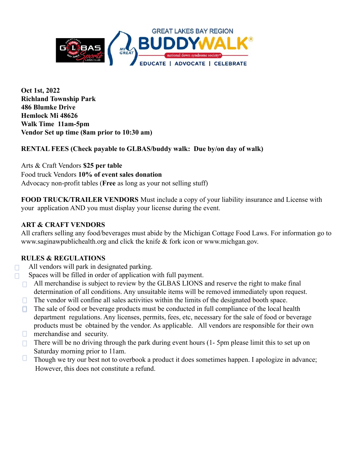

**Oct 1st, 2022 Richland Township Park 486 Blumke Drive Hemlock Mi 48626 Walk Time 11am-5pm Vendor Set up time (8am prior to 10:30 am)**

**RENTAL FEES (Check payable to GLBAS/buddy walk: Due by/on day of walk)**

Arts & Craft Vendors **\$25 per table** Food truck Vendors **10% of event sales donation** Advocacy non-profit tables (**Free** as long as your not selling stuff)

**FOOD TRUCK/TRAILER VENDORS** Must include a copy of your liability insurance and License with your application AND you must display your license during the event.

## **ART & CRAFT VENDORS**

All crafters selling any food/beverages must abide by the Michigan Cottage Food Laws. For information go to www.saginawpublichealth.org and click the knife & fork icon or www.michgan.gov.

### **RULES & REGULATIONS**

п

All vendors will park in designated parking.

- Spaces will be filled in order of application with full payment. П.
	- $\Box$  All merchandise is subject to review by the GLBAS LIONS and reserve the right to make final determination of all conditions. Any unsuitable items will be removed immediately upon request.
	- The vendor will confine all sales activities within the limits of the designated booth space.  $\Box$
	- The sale of food or beverage products must be conducted in full compliance of the local health п. department regulations. Any licenses, permits, fees, etc, necessary for the sale of food or beverage products must be obtained by the vendor. As applicable. All vendors are responsible for their own
	- $\Box$ merchandise and security.
	- There will be no driving through the park during event hours (1- 5pm please limit this to set up on  $\Box$ Saturday morning prior to 11am.
	- $\Box$ Though we try our best not to overbook a product it does sometimes happen. I apologize in advance; However, this does not constitute a refund.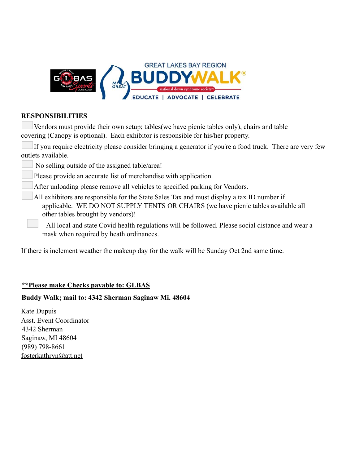

#### **RESPONSIBILITIES**

Vendors must provide their own setup; tables(we have picnic tables only), chairs and table covering (Canopy is optional). Each exhibitor is responsible for his/her property.

If you require electricity please consider bringing a generator if you're a food truck. There are very few outlets available.

No selling outside of the assigned table/area!

Please provide an accurate list of merchandise with application.

After unloading please remove all vehicles to specified parking for Vendors.

All exhibitors are responsible for the State Sales Tax and must display a tax ID number if applicable. WE DO NOT SUPPLY TENTS OR CHAIRS (we have picnic tables available all other tables brought by vendors)!

All local and state Covid health regulations will be followed. Please social distance and wear a mask when required by heath ordinances.

If there is inclement weather the makeup day for the walk will be Sunday Oct 2nd same time.

### **\*\*Please make Checks payable to: GLBAS**

### **Buddy Walk; mail to: 4342 Sherman Saginaw Mi. 48604**

Kate Dupuis Asst. Event Coordinator 4342 Sherman Saginaw, MI 48604 (989) 798-8661 [fosterkathryn@att.net](mailto:fosterkathryn@att.net)